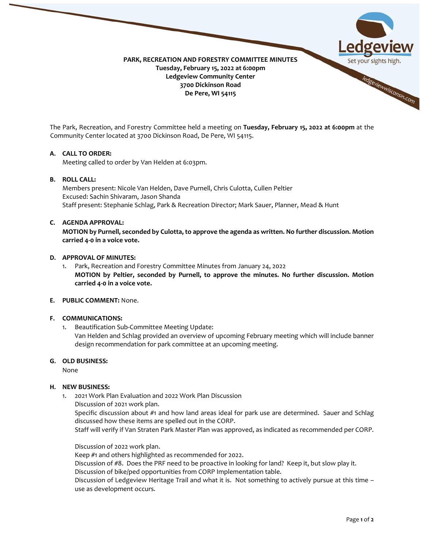

The Park, Recreation, and Forestry Committee held a meeting on **Tuesday, February 15, 2022 at 6:00pm** at the Community Center located at 3700 Dickinson Road, De Pere, WI 54115.

### **A. CALL TO ORDER:**

Meeting called to order by Van Helden at 6:03pm.

# **B. ROLL CALL:**

Members present: Nicole Van Helden, Dave Purnell, Chris Culotta, Cullen Peltier Excused: Sachin Shivaram, Jason Shanda Staff present: Stephanie Schlag, Park & Recreation Director; Mark Sauer, Planner, Mead & Hunt

#### **C. AGENDA APPROVAL:**

**MOTION by Purnell, seconded by Culotta, to approve the agenda as written. No further discussion. Motion carried 4-0 in a voice vote.**

#### **D. APPROVAL OF MINUTES:**

1. Park, Recreation and Forestry Committee Minutes from January 24, 2022 **MOTION by Peltier, seconded by Purnell, to approve the minutes. No further discussion. Motion carried 4-0 in a voice vote.**

# **E. PUBLIC COMMENT:** None.

### **F. COMMUNICATIONS:**

1. Beautification Sub-Committee Meeting Update:

Van Helden and Schlag provided an overview of upcoming February meeting which will include banner design recommendation for park committee at an upcoming meeting.

#### **G. OLD BUSINESS:**

None

### **H. NEW BUSINESS:**

1. 2021 Work Plan Evaluation and 2022 Work Plan Discussion Discussion of 2021 work plan.

Specific discussion about #1 and how land areas ideal for park use are determined. Sauer and Schlag discussed how these items are spelled out in the CORP.

Staff will verify if Van Straten Park Master Plan was approved, as indicated as recommended per CORP.

Discussion of 2022 work plan.

Keep #1 and others highlighted as recommended for 2022.

Discussion of #8. Does the PRF need to be proactive in looking for land? Keep it, but slow play it.

Discussion of bike/ped opportunities from CORP Implementation table.

Discussion of Ledgeview Heritage Trail and what it is. Not something to actively pursue at this time – use as development occurs.